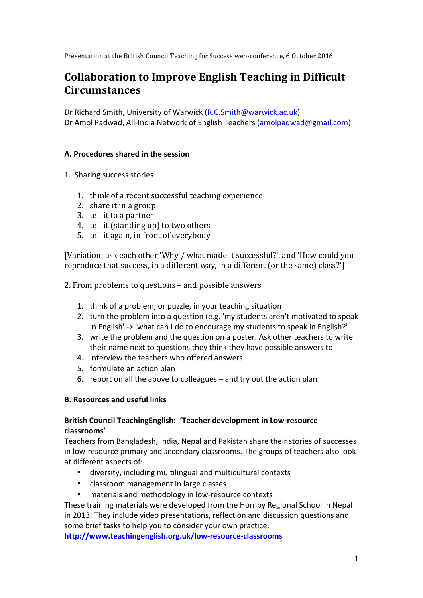Presentation at the British Council Teaching for Success web-conference, 6 October 2016

# **Collaboration to Improve English Teaching in Difficult Circumstances**

Dr Richard Smith, University of Warwick (R.C.Smith@warwick.ac.uk) Dr Amol Padwad, All-India Network of English Teachers (amolpadwad@gmail.com)

#### **A. Procedures shared in the session**

- 1. Sharing success stories
	- 1. think of a recent successful teaching experience
	- 2. share it in a group
	- 3. tell it to a partner
	- 4. tell it (standing up) to two others
	- 5. tell it again, in front of everybody

[Variation: ask each other 'Why / what made it successful?', and 'How could you reproduce that success, in a different way, in a different (or the same) class?']

2. From problems to questions – and possible answers

- 1. think of a problem, or puzzle, in your teaching situation
- 2. turn the problem into a question (e.g. 'my students aren't motivated to speak in English' -> 'what can I do to encourage my students to speak in English?'
- 3. write the problem and the question on a poster. Ask other teachers to write their name next to questions they think they have possible answers to
- 4. interview the teachers who offered answers
- 5. formulate an action plan
- 6. report on all the above to colleagues  $-$  and try out the action plan

#### **B. Resources and useful links**

## **British Council TeachingEnglish: 'Teacher development in Low-resource classrooms'**

Teachers from Bangladesh, India, Nepal and Pakistan share their stories of successes in low-resource primary and secondary classrooms. The groups of teachers also look at different aspects of:

- diversity, including multilingual and multicultural contexts
- classroom management in large classes
- materials and methodology in low-resource contexts

These training materials were developed from the Hornby Regional School in Nepal in 2013. They include video presentations, reflection and discussion questions and some brief tasks to help you to consider your own practice.

**http://www.teachingenglish.org.uk/low-resource-classrooms**